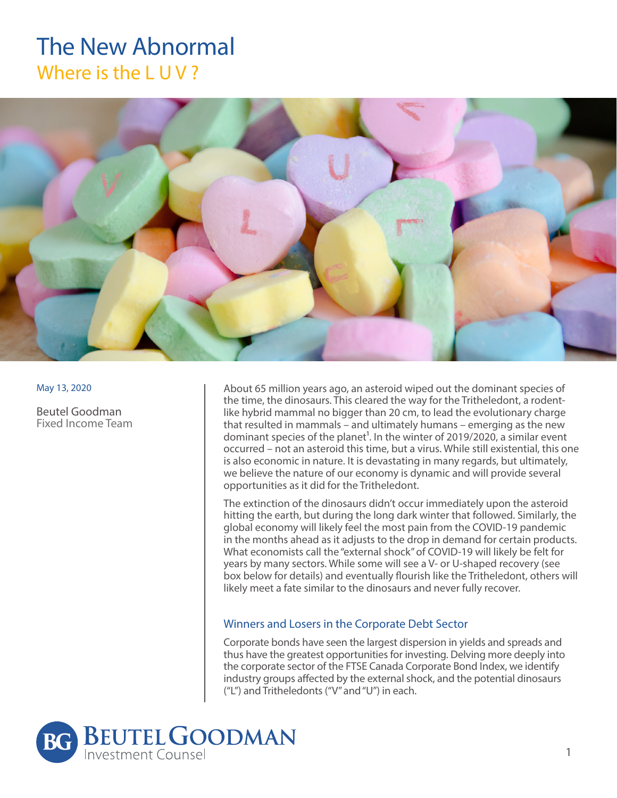# The New Abnormal Where is the LUV?



May 13, 2020

Beutel Goodman Fixed Income Team

About 65 million years ago, an asteroid wiped out the dominant species of the time, the dinosaurs. This cleared the way for the Tritheledont, a rodentlike hybrid mammal no bigger than 20 cm, to lead the evolutionary charge that resulted in mammals – and ultimately humans – emerging as the new dominant species of the planet<sup>1</sup>. In the winter of 2019/2020, a similar event occurred – not an asteroid this time, but a virus. While still existential, this one is also economic in nature. It is devastating in many regards, but ultimately, we believe the nature of our economy is dynamic and will provide several opportunities as it did for the Tritheledont.

The extinction of the dinosaurs didn't occur immediately upon the asteroid hitting the earth, but during the long dark winter that followed. Similarly, the global economy will likely feel the most pain from the COVID-19 pandemic in the months ahead as it adjusts to the drop in demand for certain products. What economists call the "external shock" of COVID-19 will likely be felt for years by many sectors. While some will see a V- or U-shaped recovery (see box below for details) and eventually flourish like the Tritheledont, others will likely meet a fate similar to the dinosaurs and never fully recover.

## Winners and Losers in the Corporate Debt Sector

Corporate bonds have seen the largest dispersion in yields and spreads and thus have the greatest opportunities for investing. Delving more deeply into the corporate sector of the FTSE Canada Corporate Bond Index, we identify industry groups affected by the external shock, and the potential dinosaurs ("L") and Tritheledonts ("V" and "U") in each.

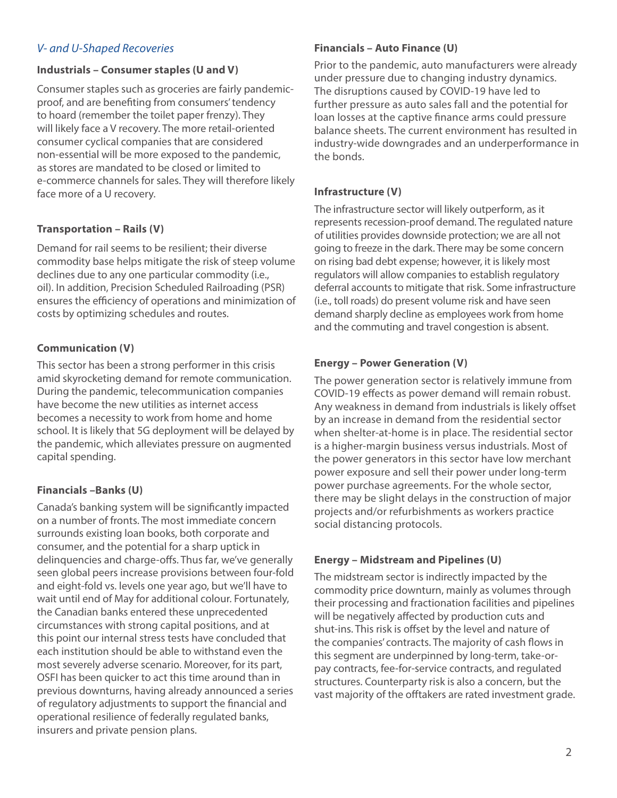# *V- and U-Shaped Recoveries*

## **Industrials – Consumer staples (U and V)**

Consumer staples such as groceries are fairly pandemicproof, and are benefiting from consumers' tendency to hoard (remember the toilet paper frenzy). They will likely face a V recovery. The more retail-oriented consumer cyclical companies that are considered non-essential will be more exposed to the pandemic, as stores are mandated to be closed or limited to e-commerce channels for sales. They will therefore likely face more of a U recovery.

# **Transportation – Rails (V)**

Demand for rail seems to be resilient; their diverse commodity base helps mitigate the risk of steep volume declines due to any one particular commodity (i.e., oil). In addition, Precision Scheduled Railroading (PSR) ensures the efficiency of operations and minimization of costs by optimizing schedules and routes.

# **Communication (V)**

This sector has been a strong performer in this crisis amid skyrocketing demand for remote communication. During the pandemic, telecommunication companies have become the new utilities as internet access becomes a necessity to work from home and home school. It is likely that 5G deployment will be delayed by the pandemic, which alleviates pressure on augmented capital spending.

# **Financials –Banks (U)**

Canada's banking system will be significantly impacted on a number of fronts. The most immediate concern surrounds existing loan books, both corporate and consumer, and the potential for a sharp uptick in delinquencies and charge-offs. Thus far, we've generally seen global peers increase provisions between four-fold and eight-fold vs. levels one year ago, but we'll have to wait until end of May for additional colour. Fortunately, the Canadian banks entered these unprecedented circumstances with strong capital positions, and at this point our internal stress tests have concluded that each institution should be able to withstand even the most severely adverse scenario. Moreover, for its part, OSFI has been quicker to act this time around than in previous downturns, having already announced a series of regulatory adjustments to support the financial and operational resilience of federally regulated banks, insurers and private pension plans.

# **Financials – Auto Finance (U)**

Prior to the pandemic, auto manufacturers were already under pressure due to changing industry dynamics. The disruptions caused by COVID-19 have led to further pressure as auto sales fall and the potential for loan losses at the captive finance arms could pressure balance sheets. The current environment has resulted in industry-wide downgrades and an underperformance in the bonds.

# **Infrastructure (V)**

The infrastructure sector will likely outperform, as it represents recession-proof demand. The regulated nature of utilities provides downside protection; we are all not going to freeze in the dark. There may be some concern on rising bad debt expense; however, it is likely most regulators will allow companies to establish regulatory deferral accounts to mitigate that risk. Some infrastructure (i.e., toll roads) do present volume risk and have seen demand sharply decline as employees work from home and the commuting and travel congestion is absent.

# **Energy – Power Generation (V)**

The power generation sector is relatively immune from COVID-19 effects as power demand will remain robust. Any weakness in demand from industrials is likely offset by an increase in demand from the residential sector when shelter-at-home is in place. The residential sector is a higher-margin business versus industrials. Most of the power generators in this sector have low merchant power exposure and sell their power under long-term power purchase agreements. For the whole sector, there may be slight delays in the construction of major projects and/or refurbishments as workers practice social distancing protocols.

# **Energy – Midstream and Pipelines (U)**

The midstream sector is indirectly impacted by the commodity price downturn, mainly as volumes through their processing and fractionation facilities and pipelines will be negatively affected by production cuts and shut-ins. This risk is offset by the level and nature of the companies' contracts. The majority of cash flows in this segment are underpinned by long-term, take-orpay contracts, fee-for-service contracts, and regulated structures. Counterparty risk is also a concern, but the vast majority of the offtakers are rated investment grade.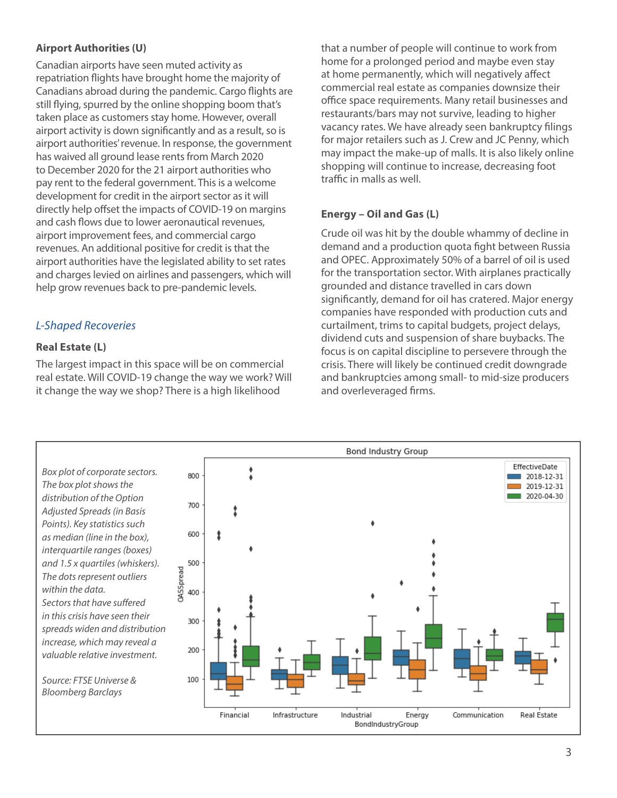# **Airport Authorities (U)**

Canadian airports have seen muted activity as repatriation flights have brought home the majority of Canadians abroad during the pandemic. Cargo flights are still flying, spurred by the online shopping boom that's taken place as customers stay home. However, overall airport activity is down significantly and as a result, so is airport authorities' revenue. In response, the government has waived all ground lease rents from March 2020 to December 2020 for the 21 airport authorities who pay rent to the federal government. This is a welcome development for credit in the airport sector as it will directly help offset the impacts of COVID-19 on margins and cash flows due to lower aeronautical revenues, airport improvement fees, and commercial cargo revenues. An additional positive for credit is that the airport authorities have the legislated ability to set rates and charges levied on airlines and passengers, which will help grow revenues back to pre-pandemic levels.

# *L-Shaped Recoveries*

## **Real Estate (L)**

The largest impact in this space will be on commercial real estate. Will COVID-19 change the way we work? Will it change the way we shop? There is a high likelihood

that a number of people will continue to work from home for a prolonged period and maybe even stay at home permanently, which will negatively affect commercial real estate as companies downsize their office space requirements. Many retail businesses and restaurants/bars may not survive, leading to higher vacancy rates. We have already seen bankruptcy filings for major retailers such as J. Crew and JC Penny, which may impact the make-up of malls. It is also likely online shopping will continue to increase, decreasing foot traffic in malls as well.

## **Energy – Oil and Gas (L)**

Crude oil was hit by the double whammy of decline in demand and a production quota fight between Russia and OPEC. Approximately 50% of a barrel of oil is used for the transportation sector. With airplanes practically grounded and distance travelled in cars down significantly, demand for oil has cratered. Major energy companies have responded with production cuts and curtailment, trims to capital budgets, project delays, dividend cuts and suspension of share buybacks. The focus is on capital discipline to persevere through the crisis. There will likely be continued credit downgrade and bankruptcies among small- to mid-size producers and overleveraged firms.

*Box plot of corporate sectors. The box plot shows the distribution of the Option Adjusted Spreads (in Basis Points). Key statistics such as median (line in the box), interquartile ranges (boxes) and 1.5 x quartiles (whiskers). The dots represent outliers within the data. Sectors that have suffered in this crisis have seen their spreads widen and distribution increase, which may reveal a valuable relative investment.* 

*Source: FTSE Universe & Bloomberg Barclays*

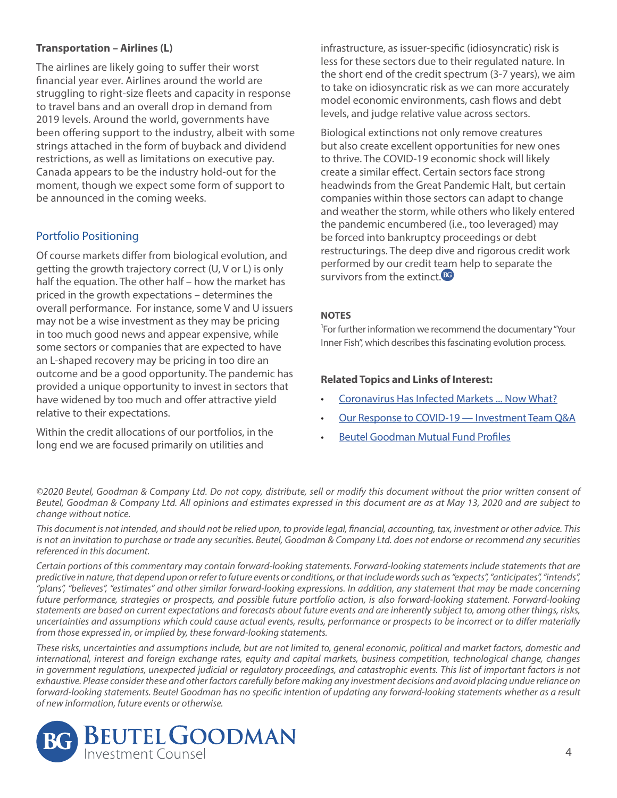## **Transportation – Airlines (L)**

The airlines are likely going to suffer their worst financial year ever. Airlines around the world are struggling to right-size fleets and capacity in response to travel bans and an overall drop in demand from 2019 levels. Around the world, governments have been offering support to the industry, albeit with some strings attached in the form of buyback and dividend restrictions, as well as limitations on executive pay. Canada appears to be the industry hold-out for the moment, though we expect some form of support to be announced in the coming weeks.

# Portfolio Positioning

Of course markets differ from biological evolution, and getting the growth trajectory correct (U, V or L) is only half the equation. The other half – how the market has priced in the growth expectations – determines the overall performance. For instance, some V and U issuers may not be a wise investment as they may be pricing in too much good news and appear expensive, while some sectors or companies that are expected to have an L-shaped recovery may be pricing in too dire an outcome and be a good opportunity. The pandemic has provided a unique opportunity to invest in sectors that have widened by too much and offer attractive yield relative to their expectations.

Within the credit allocations of our portfolios, in the long end we are focused primarily on utilities and

infrastructure, as issuer-specific (idiosyncratic) risk is less for these sectors due to their regulated nature. In the short end of the credit spectrum (3-7 years), we aim to take on idiosyncratic risk as we can more accurately model economic environments, cash flows and debt levels, and judge relative value across sectors.

Biological extinctions not only remove creatures but also create excellent opportunities for new ones to thrive. The COVID-19 economic shock will likely create a similar effect. Certain sectors face strong headwinds from the Great Pandemic Halt, but certain companies within those sectors can adapt to change and weather the storm, while others who likely entered the pandemic encumbered (i.e., too leveraged) may be forced into bankruptcy proceedings or debt restructurings. The deep dive and rigorous credit work performed by our credit team help to separate the survivors from the extinct.<sup>BG</sup>

## **NOTES**

<sup>1</sup>For further information we recommend the documentary "Your Inner Fish", which describes this fascinating evolution process.

#### **Related Topics and Links of Interest:**

- [Coronavirus Has Infected Markets ... Now What?](http://www.beutelgoodman.com/assets/searchable/Coronavirus-Has-Infected-Markets-Now-What.pdf)
- [Our Response to COVID-19 Investment Team Q&A](http://www.beutelgoodman.com/assets/searchable/COVID-19-Investment-Team-QA.pdf)
- [Beutel Goodman Mutual Fund Profiles](http://www.beutelgoodman.com/mutual-funds/mutual-fund-profiles/)

*©2020 Beutel, Goodman & Company Ltd. Do not copy, distribute, sell or modify this document without the prior written consent of Beutel, Goodman & Company Ltd. All opinions and estimates expressed in this document are as at May 13, 2020 and are subject to change without notice.*

*This document is not intended, and should not be relied upon, to provide legal, financial, accounting, tax, investment or other advice. This is not an invitation to purchase or trade any securities. Beutel, Goodman & Company Ltd. does not endorse or recommend any securities referenced in this document.*

*Certain portions of this commentary may contain forward-looking statements. Forward-looking statements include statements that are predictive in nature, that depend upon or refer to future events or conditions, or that include words such as "expects", "anticipates", "intends", "plans", "believes", "estimates" and other similar forward-looking expressions. In addition, any statement that may be made concerning future performance, strategies or prospects, and possible future portfolio action, is also forward-looking statement. Forward-looking statements are based on current expectations and forecasts about future events and are inherently subject to, among other things, risks, uncertainties and assumptions which could cause actual events, results, performance or prospects to be incorrect or to differ materially from those expressed in, or implied by, these forward-looking statements.*

*These risks, uncertainties and assumptions include, but are not limited to, general economic, political and market factors, domestic and international, interest and foreign exchange rates, equity and capital markets, business competition, technological change, changes in government regulations, unexpected judicial or regulatory proceedings, and catastrophic events. This list of important factors is not exhaustive. Please consider these and other factors carefully before making any investment decisions and avoid placing undue reliance on forward-looking statements. Beutel Goodman has no specific intention of updating any forward-looking statements whether as a result of new information, future events or otherwise.*